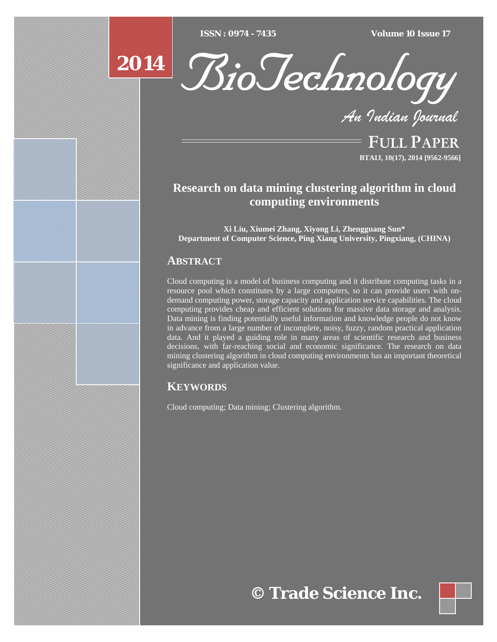$\overline{ISSN} : 0974 - 7435$ 

*ISSN : 0974 - 7435 Volume 10 Issue 17*





*An Indian Journal*

FULL PAPER **BTAIJ, 10(17), 2014 [9562-9566]**

# **Research on data mining clustering algorithm in cloud computing environments**

**Xi Liu, Xiumei Zhang, Xiyong Li, Zhengguang Sun\* Department of Computer Science, Ping Xiang University, Pingxiang, (CHINA)**

### **ABSTRACT**

Cloud computing is a model of business computing and it distribute computing tasks in a resource pool which constitutes by a large computers, so it can provide users with ondemand computing power, storage capacity and application service capabilities. The cloud computing provides cheap and efficient solutions for massive data storage and analysis. Data mining is finding potentially useful information and knowledge people do not know in advance from a large number of incomplete, noisy, fuzzy, random practical application data. And it played a guiding role in many areas of scientific research and business decisions, with far-reaching social and economic significance. The research on data mining clustering algorithm in cloud computing environments has an important theoretical significance and application value.

## **KEYWORDS**

Cloud computing; Data mining; Clustering algorithm.

**© Trade Science Inc.**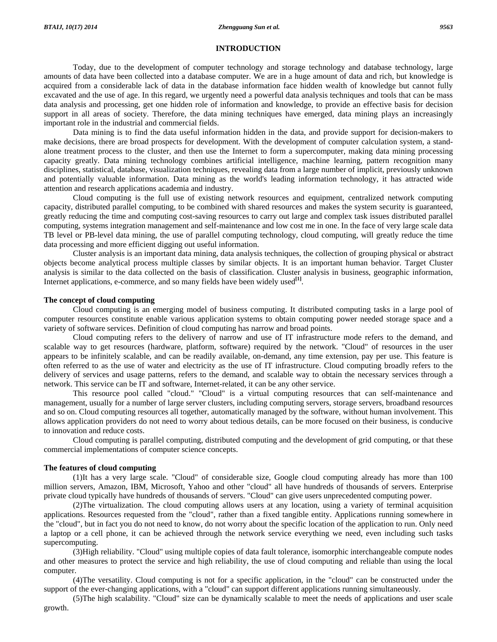#### **INTRODUCTION**

 Today, due to the development of computer technology and storage technology and database technology, large amounts of data have been collected into a database computer. We are in a huge amount of data and rich, but knowledge is acquired from a considerable lack of data in the database information face hidden wealth of knowledge but cannot fully excavated and the use of age. In this regard, we urgently need a powerful data analysis techniques and tools that can be mass data analysis and processing, get one hidden role of information and knowledge, to provide an effective basis for decision support in all areas of society. Therefore, the data mining techniques have emerged, data mining plays an increasingly important role in the industrial and commercial fields.

 Data mining is to find the data useful information hidden in the data, and provide support for decision-makers to make decisions, there are broad prospects for development. With the development of computer calculation system, a standalone treatment process to the cluster, and then use the Internet to form a supercomputer, making data mining processing capacity greatly. Data mining technology combines artificial intelligence, machine learning, pattern recognition many disciplines, statistical, database, visualization techniques, revealing data from a large number of implicit, previously unknown and potentially valuable information. Data mining as the world's leading information technology, it has attracted wide attention and research applications academia and industry.

 Cloud computing is the full use of existing network resources and equipment, centralized network computing capacity, distributed parallel computing, to be combined with shared resources and makes the system security is guaranteed, greatly reducing the time and computing cost-saving resources to carry out large and complex task issues distributed parallel computing, systems integration management and self-maintenance and low cost me in one. In the face of very large scale data TB level or PB-level data mining, the use of parallel computing technology, cloud computing, will greatly reduce the time data processing and more efficient digging out useful information.

 Cluster analysis is an important data mining, data analysis techniques, the collection of grouping physical or abstract objects become analytical process multiple classes by similar objects. It is an important human behavior. Target Cluster analysis is similar to the data collected on the basis of classification. Cluster analysis in business, geographic information, Internet applications, e-commerce, and so many fields have been widely used<sup>[1]</sup>.

#### **The concept of cloud computing**

 Cloud computing is an emerging model of business computing. It distributed computing tasks in a large pool of computer resources constitute enable various application systems to obtain computing power needed storage space and a variety of software services. Definition of cloud computing has narrow and broad points.

 Cloud computing refers to the delivery of narrow and use of IT infrastructure mode refers to the demand, and scalable way to get resources (hardware, platform, software) required by the network. "Cloud" of resources in the user appears to be infinitely scalable, and can be readily available, on-demand, any time extension, pay per use. This feature is often referred to as the use of water and electricity as the use of IT infrastructure. Cloud computing broadly refers to the delivery of services and usage patterns, refers to the demand, and scalable way to obtain the necessary services through a network. This service can be IT and software, Internet-related, it can be any other service.

 This resource pool called "cloud." "Cloud" is a virtual computing resources that can self-maintenance and management, usually for a number of large server clusters, including computing servers, storage servers, broadband resources and so on. Cloud computing resources all together, automatically managed by the software, without human involvement. This allows application providers do not need to worry about tedious details, can be more focused on their business, is conducive to innovation and reduce costs.

 Cloud computing is parallel computing, distributed computing and the development of grid computing, or that these commercial implementations of computer science concepts.

#### **The features of cloud computing**

 (1)It has a very large scale. "Cloud" of considerable size, Google cloud computing already has more than 100 million servers, Amazon, IBM, Microsoft, Yahoo and other "cloud" all have hundreds of thousands of servers. Enterprise private cloud typically have hundreds of thousands of servers. "Cloud" can give users unprecedented computing power.

 (2)The virtualization. The cloud computing allows users at any location, using a variety of terminal acquisition applications. Resources requested from the "cloud", rather than a fixed tangible entity. Applications running somewhere in the "cloud", but in fact you do not need to know, do not worry about the specific location of the application to run. Only need a laptop or a cell phone, it can be achieved through the network service everything we need, even including such tasks supercomputing.

 (3)High reliability. "Cloud" using multiple copies of data fault tolerance, isomorphic interchangeable compute nodes and other measures to protect the service and high reliability, the use of cloud computing and reliable than using the local computer.

 (4)The versatility. Cloud computing is not for a specific application, in the "cloud" can be constructed under the support of the ever-changing applications, with a "cloud" can support different applications running simultaneously.

 (5)The high scalability. "Cloud" size can be dynamically scalable to meet the needs of applications and user scale growth.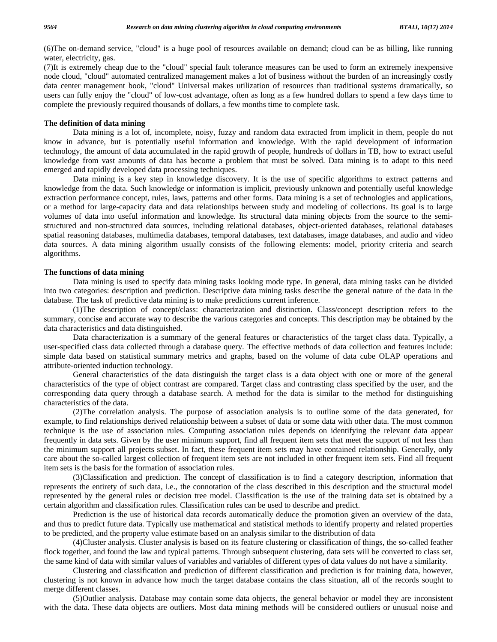(6)The on-demand service, "cloud" is a huge pool of resources available on demand; cloud can be as billing, like running water, electricity, gas.

(7)It is extremely cheap due to the "cloud" special fault tolerance measures can be used to form an extremely inexpensive node cloud, "cloud" automated centralized management makes a lot of business without the burden of an increasingly costly data center management book, "cloud" Universal makes utilization of resources than traditional systems dramatically, so users can fully enjoy the "cloud" of low-cost advantage, often as long as a few hundred dollars to spend a few days time to complete the previously required thousands of dollars, a few months time to complete task.

#### **The definition of data mining**

 Data mining is a lot of, incomplete, noisy, fuzzy and random data extracted from implicit in them, people do not know in advance, but is potentially useful information and knowledge. With the rapid development of information technology, the amount of data accumulated in the rapid growth of people, hundreds of dollars in TB, how to extract useful knowledge from vast amounts of data has become a problem that must be solved. Data mining is to adapt to this need emerged and rapidly developed data processing techniques.

 Data mining is a key step in knowledge discovery. It is the use of specific algorithms to extract patterns and knowledge from the data. Such knowledge or information is implicit, previously unknown and potentially useful knowledge extraction performance concept, rules, laws, patterns and other forms. Data mining is a set of technologies and applications, or a method for large-capacity data and data relationships between study and modeling of collections. Its goal is to large volumes of data into useful information and knowledge. Its structural data mining objects from the source to the semistructured and non-structured data sources, including relational databases, object-oriented databases, relational databases spatial reasoning databases, multimedia databases, temporal databases, text databases, image databases, and audio and video data sources. A data mining algorithm usually consists of the following elements: model, priority criteria and search algorithms.

#### **The functions of data mining**

 Data mining is used to specify data mining tasks looking mode type. In general, data mining tasks can be divided into two categories: description and prediction. Descriptive data mining tasks describe the general nature of the data in the database. The task of predictive data mining is to make predictions current inference.

 (1)The description of concept/class: characterization and distinction. Class/concept description refers to the summary, concise and accurate way to describe the various categories and concepts. This description may be obtained by the data characteristics and data distinguished.

 Data characterization is a summary of the general features or characteristics of the target class data. Typically, a user-specified class data collected through a database query. The effective methods of data collection and features include: simple data based on statistical summary metrics and graphs, based on the volume of data cube OLAP operations and attribute-oriented induction technology.

 General characteristics of the data distinguish the target class is a data object with one or more of the general characteristics of the type of object contrast are compared. Target class and contrasting class specified by the user, and the corresponding data query through a database search. A method for the data is similar to the method for distinguishing characteristics of the data.

 (2)The correlation analysis. The purpose of association analysis is to outline some of the data generated, for example, to find relationships derived relationship between a subset of data or some data with other data. The most common technique is the use of association rules. Computing association rules depends on identifying the relevant data appear frequently in data sets. Given by the user minimum support, find all frequent item sets that meet the support of not less than the minimum support all projects subset. In fact, these frequent item sets may have contained relationship. Generally, only care about the so-called largest collection of frequent item sets are not included in other frequent item sets. Find all frequent item sets is the basis for the formation of association rules.

 (3)Classification and prediction. The concept of classification is to find a category description, information that represents the entirety of such data, i.e., the connotation of the class described in this description and the structural model represented by the general rules or decision tree model. Classification is the use of the training data set is obtained by a certain algorithm and classification rules. Classification rules can be used to describe and predict.

 Prediction is the use of historical data records automatically deduce the promotion given an overview of the data, and thus to predict future data. Typically use mathematical and statistical methods to identify property and related properties to be predicted, and the property value estimate based on an analysis similar to the distribution of data

 (4)Cluster analysis. Cluster analysis is based on its feature clustering or classification of things, the so-called feather flock together, and found the law and typical patterns. Through subsequent clustering, data sets will be converted to class set, the same kind of data with similar values of variables and variables of different types of data values do not have a similarity.

 Clustering and classification and prediction of different classification and prediction is for training data, however, clustering is not known in advance how much the target database contains the class situation, all of the records sought to merge different classes.

 (5)Outlier analysis. Database may contain some data objects, the general behavior or model they are inconsistent with the data. These data objects are outliers. Most data mining methods will be considered outliers or unusual noise and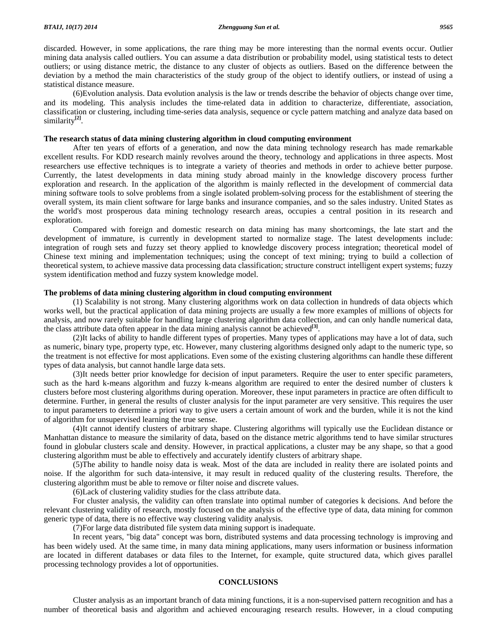discarded. However, in some applications, the rare thing may be more interesting than the normal events occur. Outlier mining data analysis called outliers. You can assume a data distribution or probability model, using statistical tests to detect outliers; or using distance metric, the distance to any cluster of objects as outliers. Based on the difference between the deviation by a method the main characteristics of the study group of the object to identify outliers, or instead of using a statistical distance measure.

 (6)Evolution analysis. Data evolution analysis is the law or trends describe the behavior of objects change over time, and its modeling. This analysis includes the time-related data in addition to characterize, differentiate, association, classification or clustering, including time-series data analysis, sequence or cycle pattern matching and analyze data based on similarity**[2]**.

#### **The research status of data mining clustering algorithm in cloud computing environment**

 After ten years of efforts of a generation, and now the data mining technology research has made remarkable excellent results. For KDD research mainly revolves around the theory, technology and applications in three aspects. Most researchers use effective techniques is to integrate a variety of theories and methods in order to achieve better purpose. Currently, the latest developments in data mining study abroad mainly in the knowledge discovery process further exploration and research. In the application of the algorithm is mainly reflected in the development of commercial data mining software tools to solve problems from a single isolated problem-solving process for the establishment of steering the overall system, its main client software for large banks and insurance companies, and so the sales industry. United States as the world's most prosperous data mining technology research areas, occupies a central position in its research and exploration.

 Compared with foreign and domestic research on data mining has many shortcomings, the late start and the development of immature, is currently in development started to normalize stage. The latest developments include: integration of rough sets and fuzzy set theory applied to knowledge discovery process integration; theoretical model of Chinese text mining and implementation techniques; using the concept of text mining; trying to build a collection of theoretical system, to achieve massive data processing data classification; structure construct intelligent expert systems; fuzzy system identification method and fuzzy system knowledge model.

#### **The problems of data mining clustering algorithm in cloud computing environment**

(1) Scalability is not strong. Many clustering algorithms work on data collection in hundreds of data objects which works well, but the practical application of data mining projects are usually a few more examples of millions of objects for analysis, and now rarely suitable for handling large clustering algorithm data collection, and can only handle numerical data, the class attribute data often appear in the data mining analysis cannot be achieved**[3]**.

 (2)It lacks of ability to handle different types of properties. Many types of applications may have a lot of data, such as numeric, binary type, property type, etc. However, many clustering algorithms designed only adapt to the numeric type, so the treatment is not effective for most applications. Even some of the existing clustering algorithms can handle these different types of data analysis, but cannot handle large data sets.

 (3)It needs better prior knowledge for decision of input parameters. Require the user to enter specific parameters, such as the hard k-means algorithm and fuzzy k-means algorithm are required to enter the desired number of clusters k clusters before most clustering algorithms during operation. Moreover, these input parameters in practice are often difficult to determine. Further, in general the results of cluster analysis for the input parameter are very sensitive. This requires the user to input parameters to determine a priori way to give users a certain amount of work and the burden, while it is not the kind of algorithm for unsupervised learning the true sense.

 (4)It cannot identify clusters of arbitrary shape. Clustering algorithms will typically use the Euclidean distance or Manhattan distance to measure the similarity of data, based on the distance metric algorithms tend to have similar structures found in globular clusters scale and density. However, in practical applications, a cluster may be any shape, so that a good clustering algorithm must be able to effectively and accurately identify clusters of arbitrary shape.

 (5)The ability to handle noisy data is weak. Most of the data are included in reality there are isolated points and noise. If the algorithm for such data-intensive, it may result in reduced quality of the clustering results. Therefore, the clustering algorithm must be able to remove or filter noise and discrete values.

(6)Lack of clustering validity studies for the class attribute data.

 For cluster analysis, the validity can often translate into optimal number of categories k decisions. And before the relevant clustering validity of research, mostly focused on the analysis of the effective type of data, data mining for common generic type of data, there is no effective way clustering validity analysis.

(7)For large data distributed file system data mining support is inadequate.

 In recent years, "big data" concept was born, distributed systems and data processing technology is improving and has been widely used. At the same time, in many data mining applications, many users information or business information are located in different databases or data files to the Internet, for example, quite structured data, which gives parallel processing technology provides a lot of opportunities.

#### **CONCLUSIONS**

 Cluster analysis as an important branch of data mining functions, it is a non-supervised pattern recognition and has a number of theoretical basis and algorithm and achieved encouraging research results. However, in a cloud computing